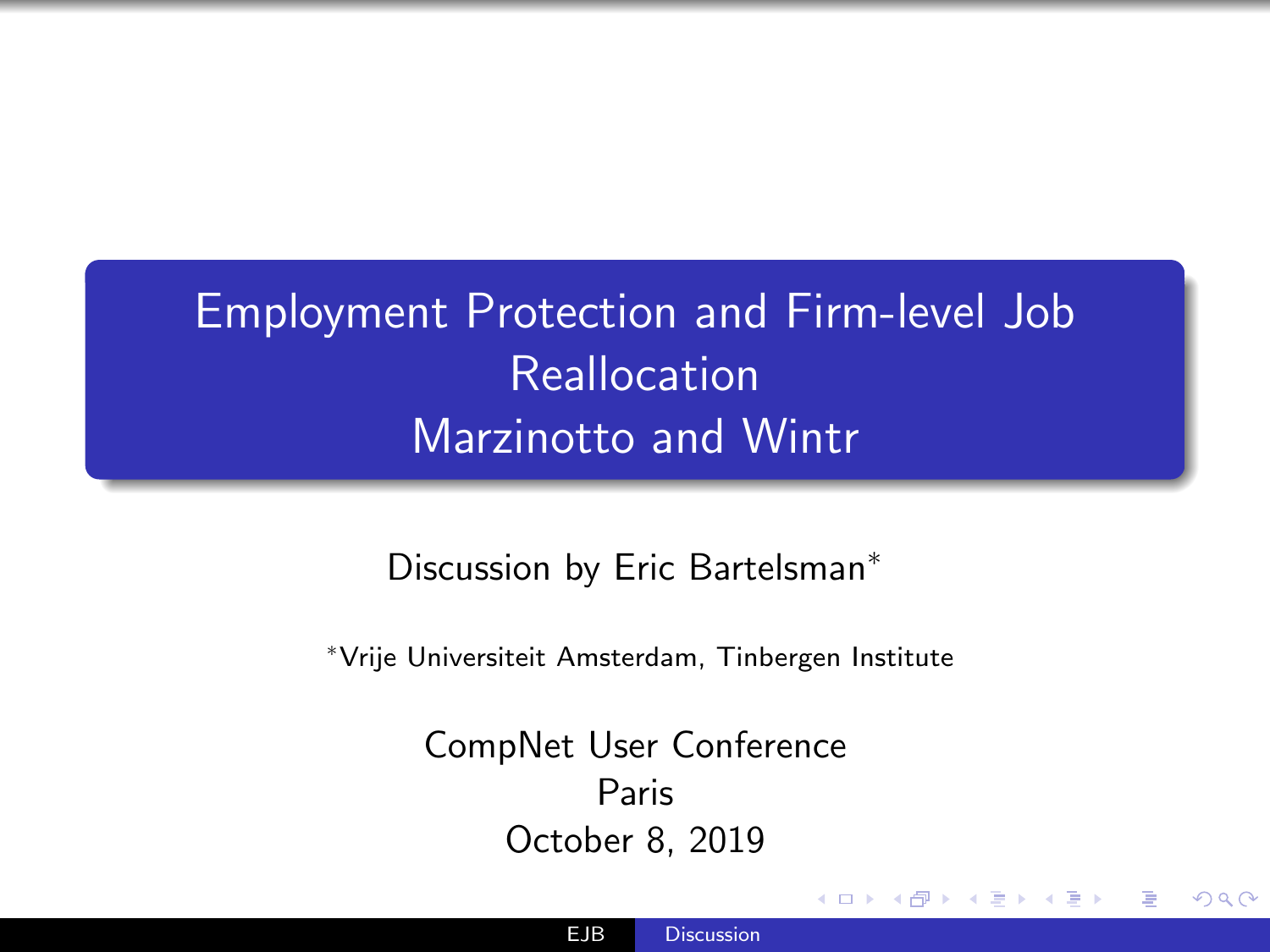<span id="page-0-0"></span>Employment Protection and Firm-level Job Reallocation Marzinotto and Wintr

Discussion by Eric Bartelsman<sup>\*</sup>

<sup>∗</sup>Vrije Universiteit Amsterdam, Tinbergen Institute

CompNet User Conference Paris October 8, 2019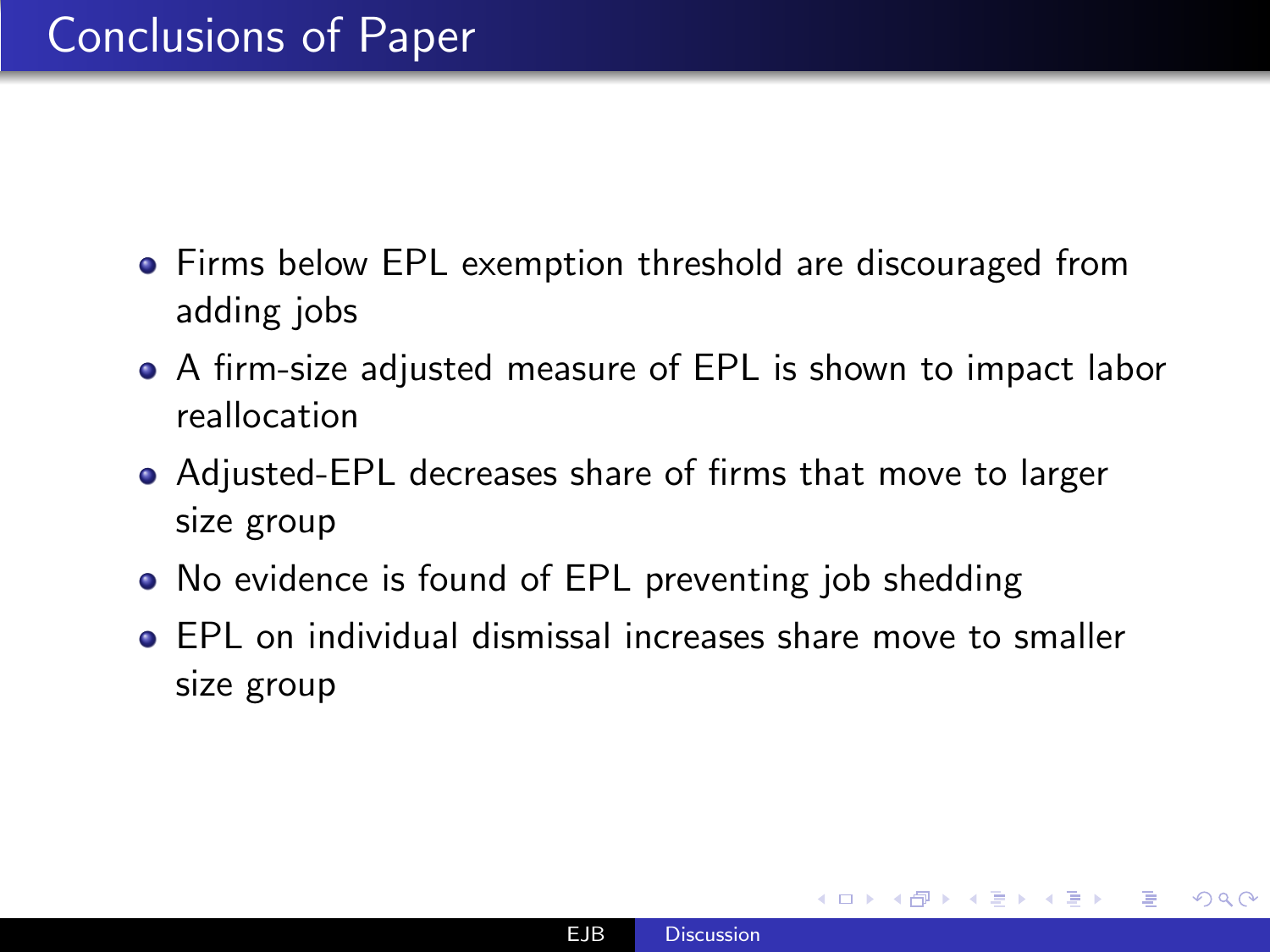- **•** Firms below EPL exemption threshold are discouraged from adding jobs
- A firm-size adjusted measure of EPL is shown to impact labor reallocation
- Adjusted-EPL decreases share of firms that move to larger size group
- No evidence is found of EPL preventing job shedding
- EPL on individual dismissal increases share move to smaller size group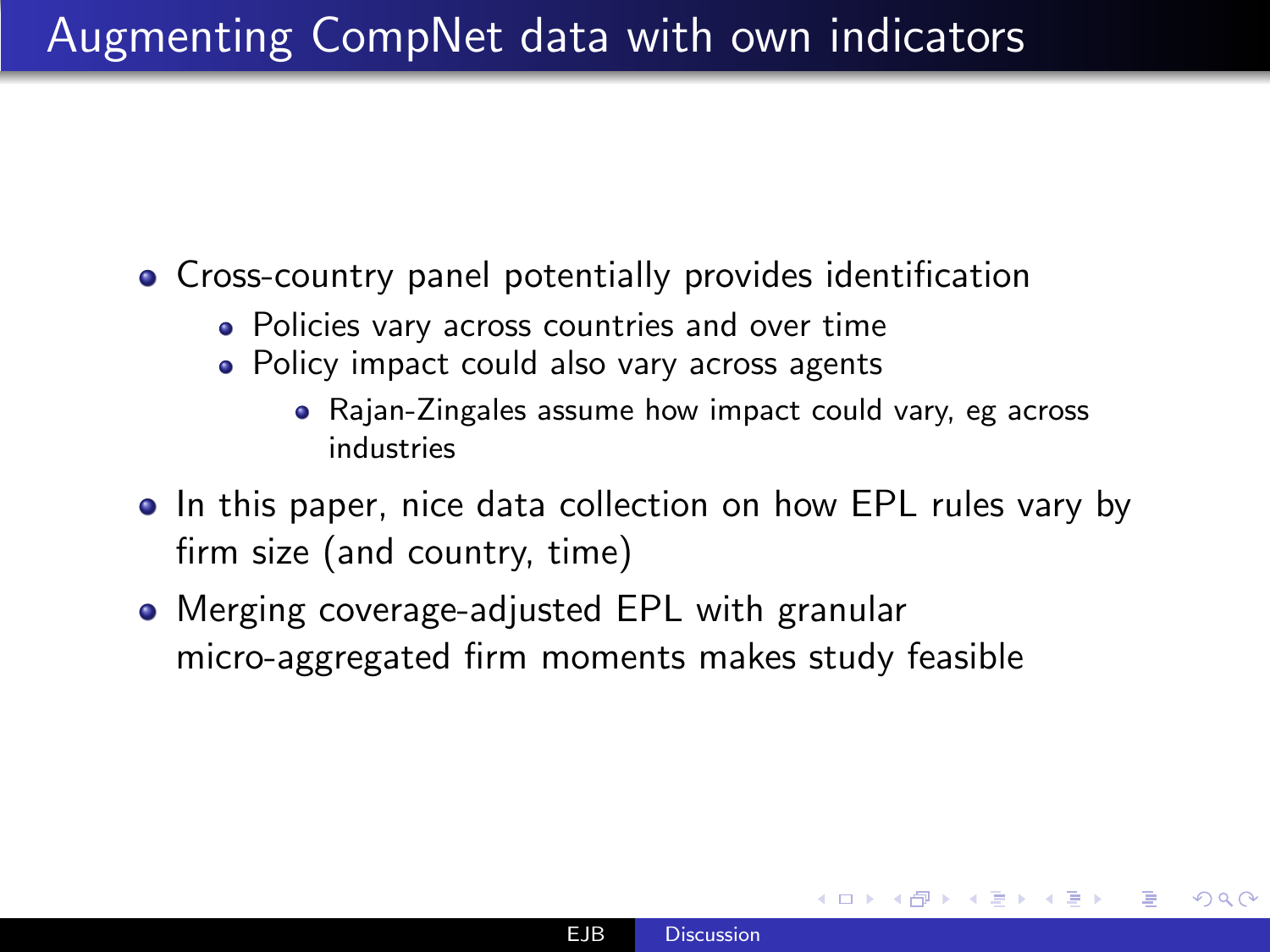- Cross-country panel potentially provides identification
	- Policies vary across countries and over time
	- Policy impact could also vary across agents
		- Rajan-Zingales assume how impact could vary, eg across industries
- In this paper, nice data collection on how EPL rules vary by firm size (and country, time)
- Merging coverage-adjusted EPL with granular micro-aggregated firm moments makes study feasible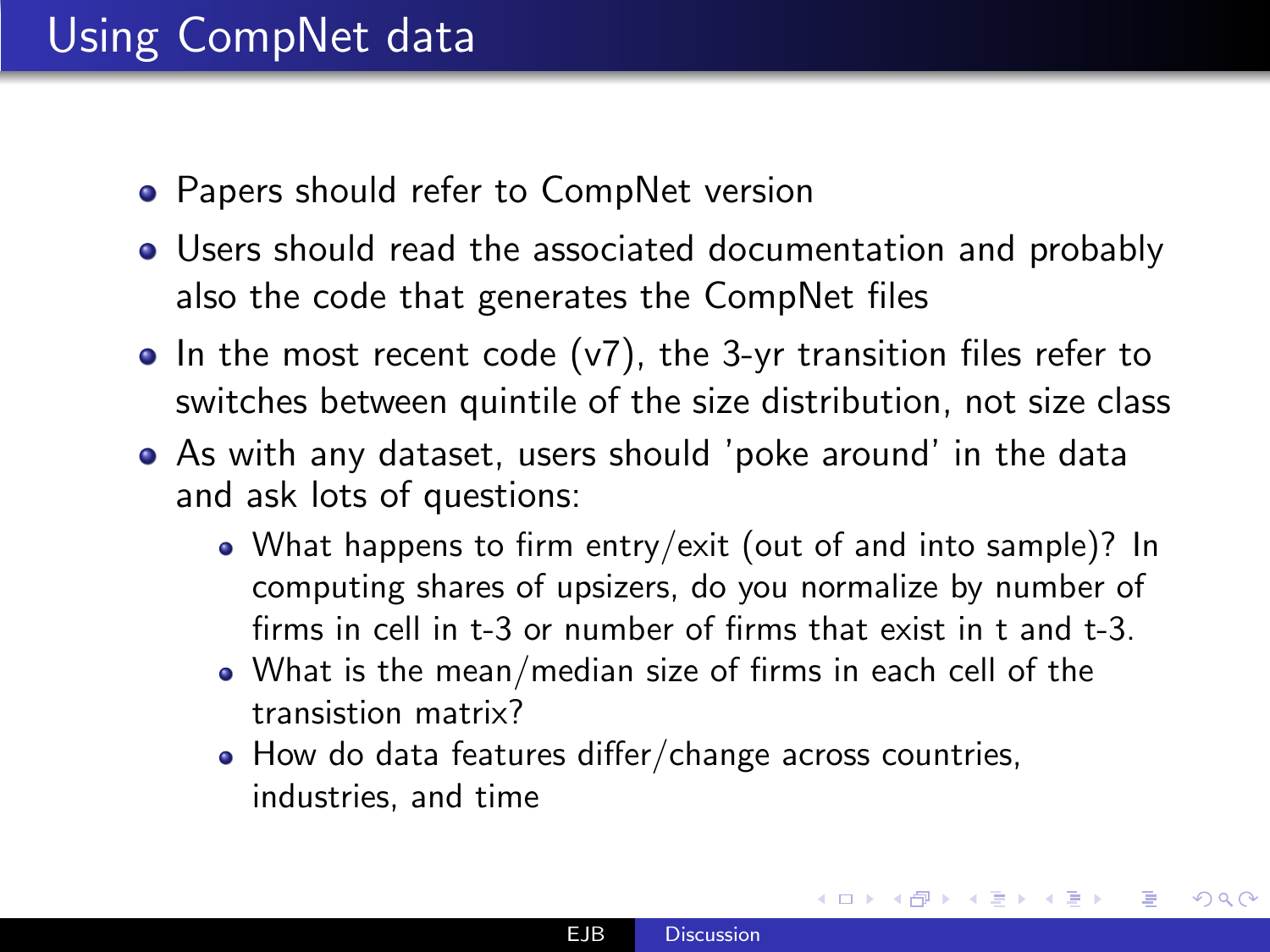## Using CompNet data

- **Papers should refer to CompNet version**
- Users should read the associated documentation and probably also the code that generates the CompNet files
- $\bullet$  In the most recent code (v7), the 3-yr transition files refer to switches between quintile of the size distribution, not size class
- As with any dataset, users should 'poke around' in the data and ask lots of questions:
	- What happens to firm entry/exit (out of and into sample)? In computing shares of upsizers, do you normalize by number of firms in cell in t-3 or number of firms that exist in t and t-3.
	- What is the mean/median size of firms in each cell of the transistion matrix?
	- How do data features differ/change across countries, industries, and time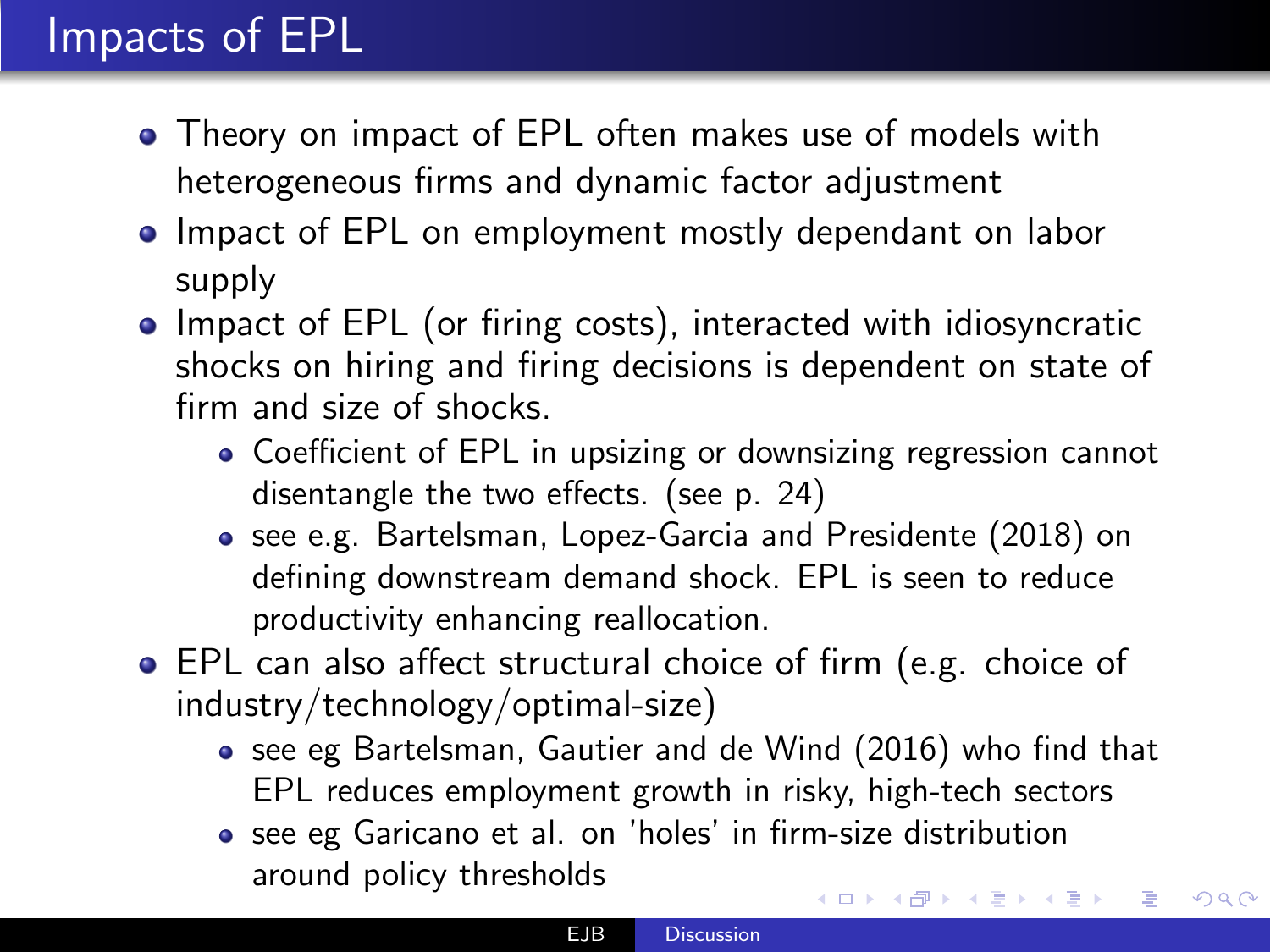## Impacts of EPL

- Theory on impact of EPL often makes use of models with heterogeneous firms and dynamic factor adjustment
- Impact of EPL on employment mostly dependant on labor supply
- Impact of EPL (or firing costs), interacted with idiosyncratic shocks on hiring and firing decisions is dependent on state of firm and size of shocks.
	- Coefficient of EPL in upsizing or downsizing regression cannot disentangle the two effects. (see p. 24)
	- see e.g. Bartelsman, Lopez-Garcia and Presidente (2018) on defining downstream demand shock. EPL is seen to reduce productivity enhancing reallocation.
- EPL can also affect structural choice of firm (e.g. choice of industry/technology/optimal-size)
	- see eg Bartelsman, Gautier and de Wind (2016) who find that EPL reduces employment growth in risky, high-tech sectors

 $200$ 

see eg Garicano et al. on 'holes' in firm-size distribution around policy thresholds